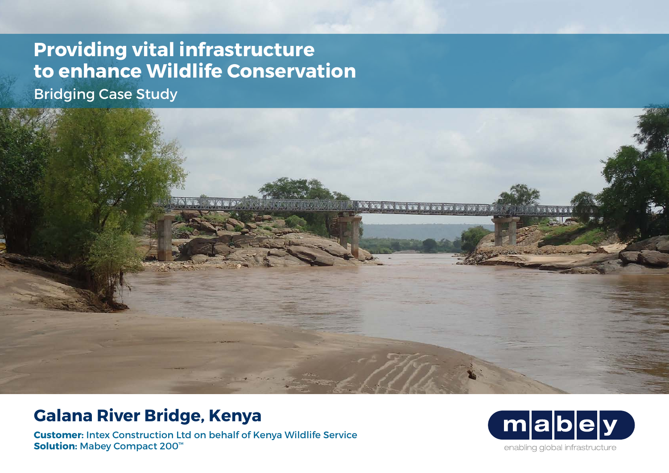## **Providing vital infrastructure to enhance Wildlife Conservation**

Bridging Case Study



**Customer:** Intex Construction Ltd on behalf of Kenya Wildlife Service **Solution:** Mabey Compact 200™